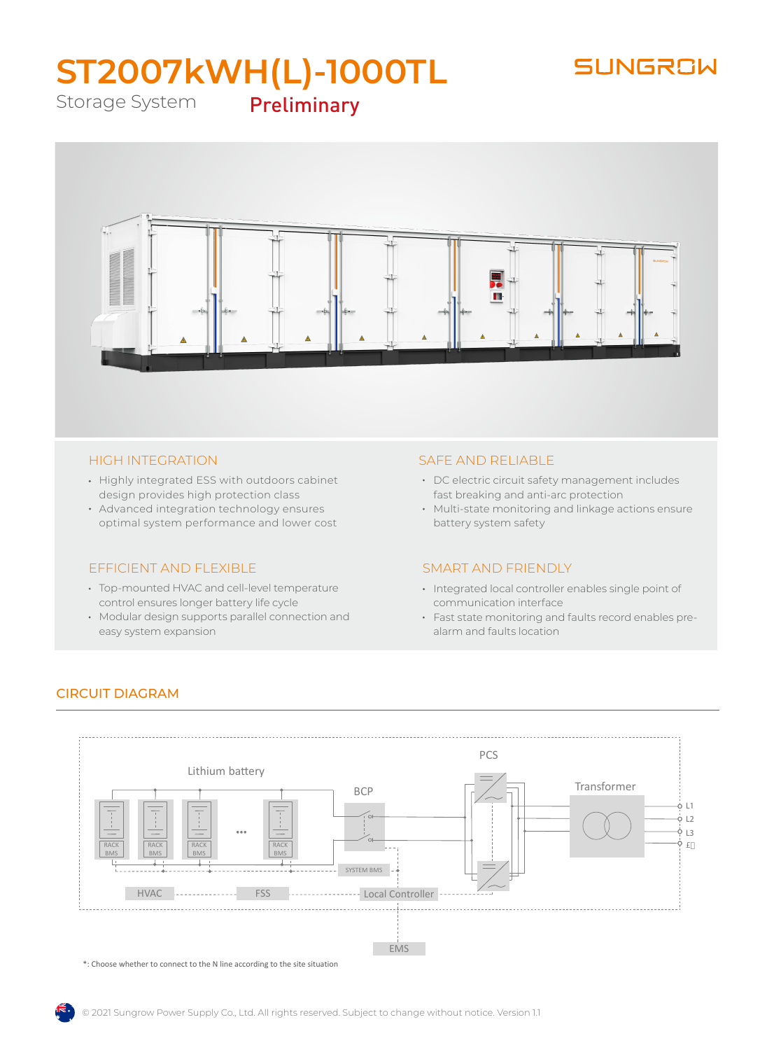## SUNGROW

# **ST2007kWH(L)-1000TL** Preliminary

Storage System



#### HIGH INTEGRATION

- Highly integrated ESS with outdoors cabinet design provides high protection class
- Advanced integration technology ensures optimal system performance and lower cost

#### EFFICIENT AND FLEXIBLE

- Top-mounted HVAC and cell-level temperature control ensures longer battery life cycle
- Modular design supports parallel connection and easy system expansion

#### SAFE AND RELIABLE

- DC electric circuit safety management includes fast breaking and anti-arc protection
- Multi-state monitoring and linkage actions ensure battery system safety

#### SMART AND FRIENDLY

- Integrated local controller enables single point of communication interface
- Fast state monitoring and faults record enables prealarm and faults location



#### CIRCUIT DIAGRAM

\*: Choose whether to connect to the N line according to the site situation